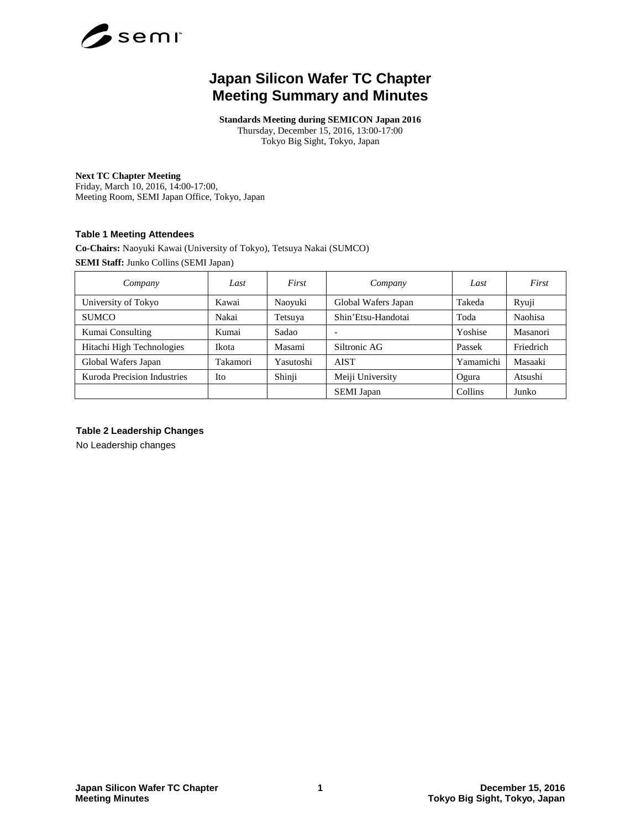

# **Japan Silicon Wafer TC Chapter Meeting Summary and Minutes**

**Standards Meeting during SEMICON Japan 2016** Thursday, December 15, 2016, 13:00-17:00 Tokyo Big Sight, Tokyo, Japan

# **Next TC Chapter Meeting**

Friday, March 10, 2016, 14:00-17:00, Meeting Room, SEMI Japan Office, Tokyo, Japan

# **Table 1 Meeting Attendees**

**Co-Chairs:** Naoyuki Kawai (University of Tokyo), Tetsuya Nakai (SUMCO) **SEMI Staff:** Junko Collins (SEMI Japan)

| Company                     | Last         | First     | Company             | Last      | First     |
|-----------------------------|--------------|-----------|---------------------|-----------|-----------|
| University of Tokyo         | Kawai        | Naoyuki   | Global Wafers Japan | Takeda    | Ryuji     |
| <b>SUMCO</b>                | Nakai        | Tetsuya   | Shin'Etsu-Handotai  | Toda      | Naohisa   |
| Kumai Consulting            | Kumai        | Sadao     |                     | Yoshise   | Masanori  |
| Hitachi High Technologies   | <b>Ikota</b> | Masami    | Siltronic AG        | Passek    | Friedrich |
| Global Wafers Japan         | Takamori     | Yasutoshi | <b>AIST</b>         | Yamamichi | Masaaki   |
| Kuroda Precision Industries | Ito          | Shinji    | Meiji University    | Ogura     | Atsushi   |
|                             |              |           | <b>SEMI</b> Japan   | Collins   | Junko     |

# **Table 2 Leadership Changes**

No Leadership changes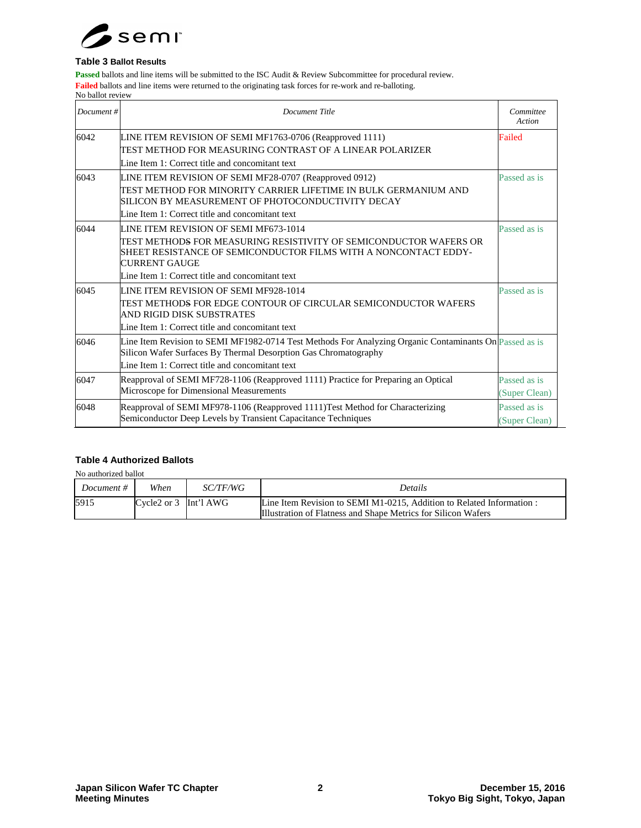

# **Table 3 Ballot Results**

Passed ballots and line items will be submitted to the ISC Audit & Review Subcommittee for procedural review. **Failed** ballots and line items were returned to the originating task forces for re-work and re-balloting. No ballot review

| Document# | Document Title                                                                                                                                                                                                               | Committee<br>Action           |
|-----------|------------------------------------------------------------------------------------------------------------------------------------------------------------------------------------------------------------------------------|-------------------------------|
| 6042      | LINE ITEM REVISION OF SEMI MF1763-0706 (Reapproved 1111)                                                                                                                                                                     | Failed                        |
|           | TEST METHOD FOR MEASURING CONTRAST OF A LINEAR POLARIZER                                                                                                                                                                     |                               |
|           | Line Item 1: Correct title and concomitant text                                                                                                                                                                              |                               |
| 6043      | LINE ITEM REVISION OF SEMI MF28-0707 (Reapproved 0912)                                                                                                                                                                       | Passed as is                  |
|           | TEST METHOD FOR MINORITY CARRIER LIFETIME IN BULK GERMANIUM AND<br>SILICON BY MEASUREMENT OF PHOTOCONDUCTIVITY DECAY                                                                                                         |                               |
|           | Line Item 1: Correct title and concomitant text                                                                                                                                                                              |                               |
| 6044      | LINE ITEM REVISION OF SEMI MF673-1014                                                                                                                                                                                        | Passed as is                  |
|           | TEST METHODS FOR MEASURING RESISTIVITY OF SEMICONDUCTOR WAFERS OR<br>SHEET RESISTANCE OF SEMICONDUCTOR FILMS WITH A NONCONTACT EDDY-<br>CURRENT GAUGE                                                                        |                               |
|           | Line Item 1: Correct title and concomitant text                                                                                                                                                                              |                               |
| 6045      | LINE ITEM REVISION OF SEMI MF928-1014<br>TEST METHODS FOR EDGE CONTOUR OF CIRCULAR SEMICONDUCTOR WAFERS<br>AND RIGID DISK SUBSTRATES                                                                                         | Passed as is                  |
|           | Line Item 1: Correct title and concomitant text                                                                                                                                                                              |                               |
| 6046      | Line Item Revision to SEMI MF1982-0714 Test Methods For Analyzing Organic Contaminants On Passed as is<br>Silicon Wafer Surfaces By Thermal Desorption Gas Chromatography<br>Line Item 1: Correct title and concomitant text |                               |
| 6047      | Reapproval of SEMI MF728-1106 (Reapproved 1111) Practice for Preparing an Optical                                                                                                                                            | Passed as is                  |
|           | Microscope for Dimensional Measurements                                                                                                                                                                                      | (Super Clean)                 |
| 6048      | Reapproval of SEMI MF978-1106 (Reapproved 1111)Test Method for Characterizing<br>Semiconductor Deep Levels by Transient Capacitance Techniques                                                                               | Passed as is<br>(Super Clean) |

# **Table 4 Authorized Ballots**

No authorized ballot

| Document $#$ | When                       | <i>SC/TF/WG</i> | Details                                                                                                                                |
|--------------|----------------------------|-----------------|----------------------------------------------------------------------------------------------------------------------------------------|
| 5915         | Cycle $2$ or $3$ Int'l AWG |                 | Line Item Revision to SEMI M1-0215. Addition to Related Information :<br>Illustration of Flatness and Shape Metrics for Silicon Wafers |

 $\overline{\phantom{0}}$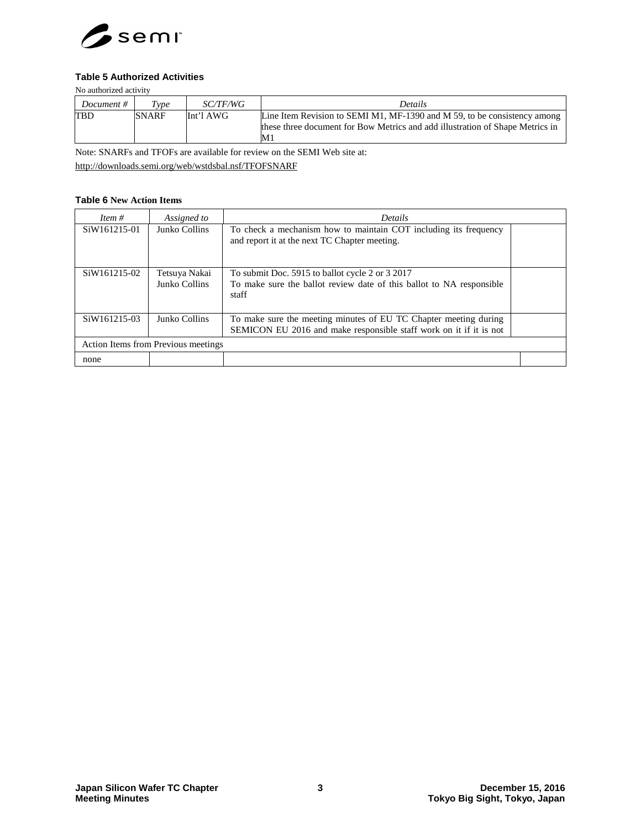

# **Table 5 Authorized Activities**

No authorized activity

| Document $#$ | Type         | <i>SC/TF/WG</i> | <b>Details</b>                                                                                                                                                  |
|--------------|--------------|-----------------|-----------------------------------------------------------------------------------------------------------------------------------------------------------------|
| <b>TBD</b>   | <b>SNARF</b> | lInt'l AWG      | Line Item Revision to SEMI M1, MF-1390 and M 59, to be consistency among<br>these three document for Bow Metrics and add illustration of Shape Metrics in<br>M1 |

Note: SNARFs and TFOFs are available for review on the SEMI Web site at: <http://downloads.semi.org/web/wstdsbal.nsf/TFOFSNARF>

#### **Table 6 New Action Items**

| Item $#$     | Assigned to                         | Details                                                                                                                                |  |
|--------------|-------------------------------------|----------------------------------------------------------------------------------------------------------------------------------------|--|
| SiW161215-01 | Junko Collins                       | To check a mechanism how to maintain COT including its frequency<br>and report it at the next TC Chapter meeting.                      |  |
| SiW161215-02 | Tetsuya Nakai<br>Junko Collins      | To submit Doc. 5915 to ballot cycle 2 or 3 2017<br>To make sure the ballot review date of this ballot to NA responsible<br>staff       |  |
| SiW161215-03 | Junko Collins                       | To make sure the meeting minutes of EU TC Chapter meeting during<br>SEMICON EU 2016 and make responsible staff work on it if it is not |  |
|              | Action Items from Previous meetings |                                                                                                                                        |  |
| none         |                                     |                                                                                                                                        |  |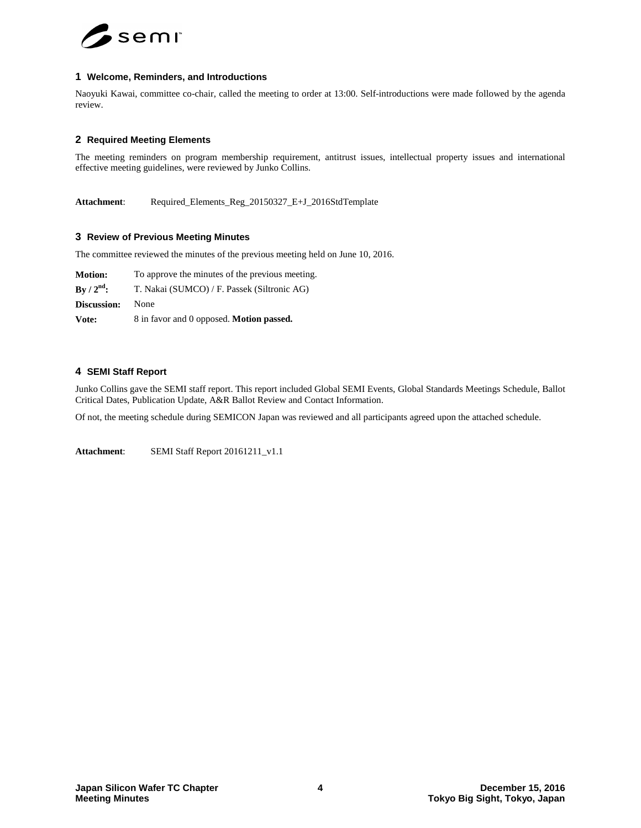

#### **1 Welcome, Reminders, and Introductions**

Naoyuki Kawai, committee co-chair, called the meeting to order at 13:00. Self-introductions were made followed by the agenda review.

#### **2 Required Meeting Elements**

The meeting reminders on program membership requirement, antitrust issues, intellectual property issues and international effective meeting guidelines, were reviewed by Junko Collins.

**Attachment**: Required\_Elements\_Reg\_20150327\_E+J\_2016StdTemplate

#### **3 Review of Previous Meeting Minutes**

The committee reviewed the minutes of the previous meeting held on June 10, 2016.

| <b>Motion:</b> | To approve the minutes of the previous meeting. |  |  |
|----------------|-------------------------------------------------|--|--|
| By / $2nd$ :   | T. Nakai (SUMCO) / F. Passek (Siltronic AG)     |  |  |
| Discussion:    | None                                            |  |  |
| Vote:          | 8 in favor and 0 opposed. Motion passed.        |  |  |

#### **4 SEMI Staff Report**

Junko Collins gave the SEMI staff report. This report included Global SEMI Events, Global Standards Meetings Schedule, Ballot Critical Dates, Publication Update, A&R Ballot Review and Contact Information.

Of not, the meeting schedule during SEMICON Japan was reviewed and all participants agreed upon the attached schedule.

**Attachment**: SEMI Staff Report 20161211\_v1.1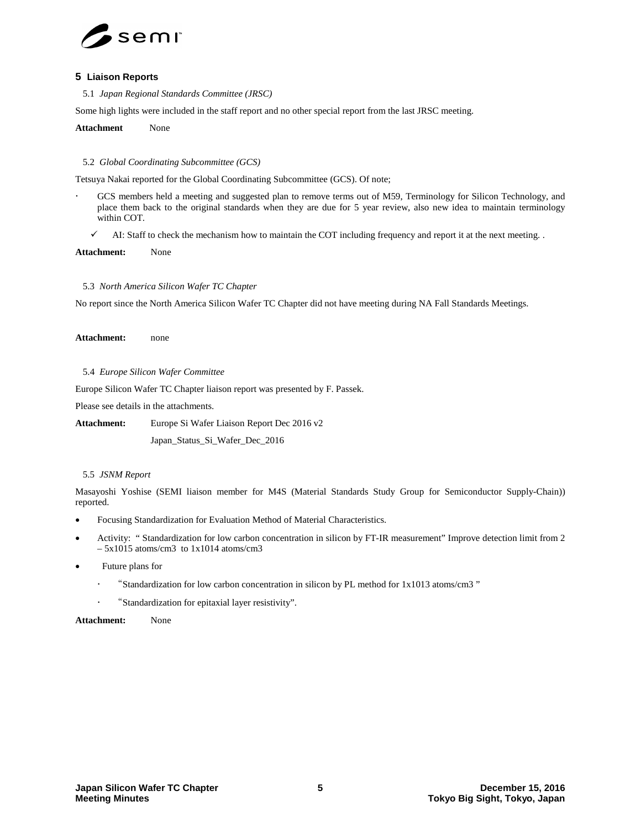

# **5 Liaison Reports**

5.1 *Japan Regional Standards Committee (JRSC)*

Some high lights were included in the staff report and no other special report from the last JRSC meeting.

**Attachment** None

#### 5.2 *Global Coordinating Subcommittee (GCS)*

Tetsuya Nakai reported for the Global Coordinating Subcommittee (GCS). Of note;

- GCS members held a meeting and suggested plan to remove terms out of M59, Terminology for Silicon Technology, and place them back to the original standards when they are due for 5 year review, also new idea to maintain terminology within COT.
	- $\checkmark$  AI: Staff to check the mechanism how to maintain the COT including frequency and report it at the next meeting. .
- **Attachment:** None

#### 5.3 *North America Silicon Wafer TC Chapter*

No report since the North America Silicon Wafer TC Chapter did not have meeting during NA Fall Standards Meetings.

**Attachment:** none

5.4 *Europe Silicon Wafer Committee*

Europe Silicon Wafer TC Chapter liaison report was presented by F. Passek.

Please see details in the attachments.

Attachment: Europe Si Wafer Liaison Report Dec 2016 v2

Japan\_Status\_Si\_Wafer\_Dec\_2016

## 5.5 *JSNM Report*

Masayoshi Yoshise (SEMI liaison member for M4S (Material Standards Study Group for Semiconductor Supply-Chain)) reported.

- Focusing Standardization for Evaluation Method of Material Characteristics.
- Activity: " Standardization for low carbon concentration in silicon by FT-IR measurement" Improve detection limit from 2  $-5x1015$  atoms/cm3 to 1x1014 atoms/cm3
- Future plans for
	- "Standardization for low carbon concentration in silicon by PL method for 1x1013 atoms/cm3 "
	- "Standardization for epitaxial layer resistivity".

**Attachment:** None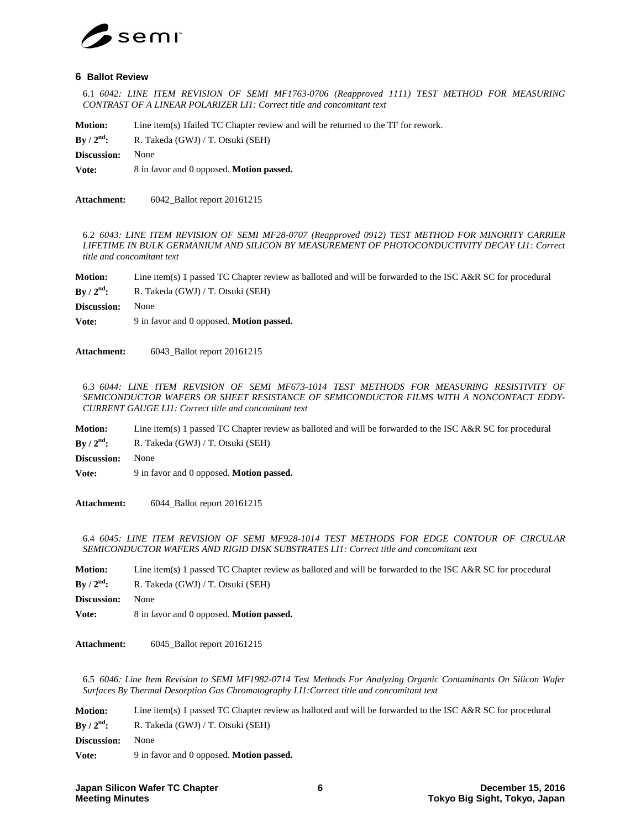

#### **6 Ballot Review**

6.1 *6042: LINE ITEM REVISION OF SEMI MF1763-0706 (Reapproved 1111) TEST METHOD FOR MEASURING CONTRAST OF A LINEAR POLARIZER LI1: Correct title and concomitant text*

**Motion:** Line item(s) 1failed TC Chapter review and will be returned to the TF for rework.

 $\mathbf{B} \mathbf{v} / 2^{\text{nd}}$ : R. Takeda (GWJ) / T. Otsuki (SEH)

**Discussion:** None

**Vote:** 8 in favor and 0 opposed. **Motion passed.**

**Attachment:** 6042\_Ballot report 20161215

6.2 *6043: LINE ITEM REVISION OF SEMI MF28-0707 (Reapproved 0912) TEST METHOD FOR MINORITY CARRIER LIFETIME IN BULK GERMANIUM AND SILICON BY MEASUREMENT OF PHOTOCONDUCTIVITY DECAY LI1: Correct title and concomitant text*

**Motion:** Line item(s) 1 passed TC Chapter review as balloted and will be forwarded to the ISC A&R SC for procedural

**By** /  $2^{nd}$ : R. Takeda (GWJ) / T. Otsuki (SEH)

**Discussion:** None

**Vote:** 9 in favor and 0 opposed. **Motion passed.**

**Attachment:** 6043\_Ballot report 20161215

6.3 *6044: LINE ITEM REVISION OF SEMI MF673-1014 TEST METHODS FOR MEASURING RESISTIVITY OF SEMICONDUCTOR WAFERS OR SHEET RESISTANCE OF SEMICONDUCTOR FILMS WITH A NONCONTACT EDDY-CURRENT GAUGE LI1: Correct title and concomitant text*

**Motion:** Line item(s) 1 passed TC Chapter review as balloted and will be forwarded to the ISC A&R SC for procedural  $\mathbf{By} / 2^{\text{nd}}$ : R. Takeda (GWJ) / T. Otsuki (SEH)

**Discussion:** None

**Vote:** 9 in favor and 0 opposed. **Motion passed.**

**Attachment:** 6044\_Ballot report 20161215

6.4 *6045: LINE ITEM REVISION OF SEMI MF928-1014 TEST METHODS FOR EDGE CONTOUR OF CIRCULAR SEMICONDUCTOR WAFERS AND RIGID DISK SUBSTRATES LI1: Correct title and concomitant text*

| Line item(s) 1 passed TC Chapter review as balloted and will be forwarded to the ISC A&R SC for procedural |
|------------------------------------------------------------------------------------------------------------|
| R. Takeda (GWJ) / T. Otsuki (SEH)                                                                          |
| None                                                                                                       |
| 8 in favor and 0 opposed. <b>Motion passed.</b>                                                            |
|                                                                                                            |

**Attachment:** 6045\_Ballot report 20161215

6.5 *6046: Line Item Revision to SEMI MF1982-0714 Test Methods For Analyzing Organic Contaminants On Silicon Wafer Surfaces By Thermal Desorption Gas Chromatography LI1:Correct title and concomitant text*

**Motion:** Line item(s) 1 passed TC Chapter review as balloted and will be forwarded to the ISC A&R SC for procedural **By** /  $2^{nd}$ : R. Takeda (GWJ) / T. Otsuki (SEH) **Discussion:** None **Vote:** 9 in favor and 0 opposed. **Motion passed.**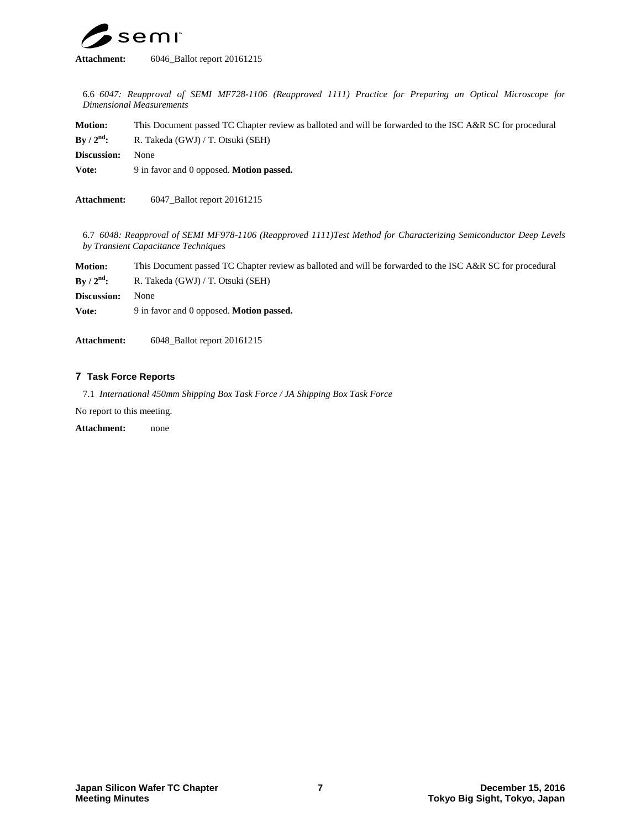

6.6 *6047: Reapproval of SEMI MF728-1106 (Reapproved 1111) Practice for Preparing an Optical Microscope for Dimensional Measurements*

**Motion:** This Document passed TC Chapter review as balloted and will be forwarded to the ISC A&R SC for procedural **By** /  $2^{nd}$ : R. Takeda (GWJ) / T. Otsuki (SEH) **Discussion:** None **Vote:** 9 in favor and 0 opposed. **Motion passed.**

**Attachment:** 6047\_Ballot report 20161215

6.7 *6048: Reapproval of SEMI MF978-1106 (Reapproved 1111)Test Method for Characterizing Semiconductor Deep Levels by Transient Capacitance Techniques*

**Motion:** This Document passed TC Chapter review as balloted and will be forwarded to the ISC A&R SC for procedural **By** /  $2<sup>nd</sup>$ : R. Takeda (GWJ) / T. Otsuki (SEH) **Discussion:** None **Vote:** 9 in favor and 0 opposed. **Motion passed.**

**Attachment:** 6048\_Ballot report 20161215

## **7 Task Force Reports**

7.1 *International 450mm Shipping Box Task Force / JA Shipping Box Task Force* 

No report to this meeting.

**Attachment:** none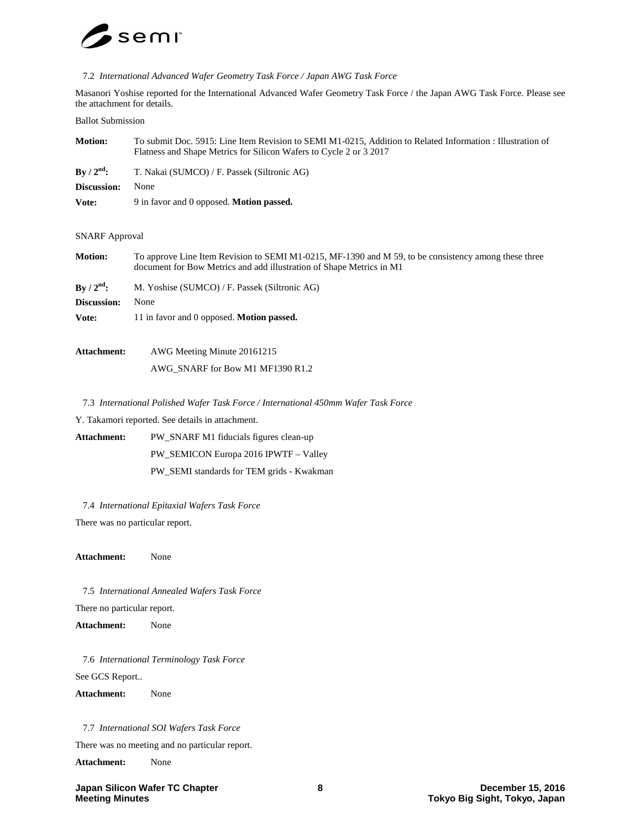

#### 7.2 *International Advanced Wafer Geometry Task Force / Japan AWG Task Force*

Masanori Yoshise reported for the International Advanced Wafer Geometry Task Force / the Japan AWG Task Force. Please see the attachment for details.

#### Ballot Submission

| <b>Motion:</b>        | To submit Doc. 5915: Line Item Revision to SEMI M1-0215, Addition to Related Information : Illustration of<br>Flatness and Shape Metrics for Silicon Wafers to Cycle 2 or 3 2017 |  |  |
|-----------------------|----------------------------------------------------------------------------------------------------------------------------------------------------------------------------------|--|--|
| By $/ 2nd$ :          | T. Nakai (SUMCO) / F. Passek (Siltronic AG)                                                                                                                                      |  |  |
| Discussion:           | None                                                                                                                                                                             |  |  |
| Vote:                 | 9 in favor and 0 opposed. <b>Motion passed.</b>                                                                                                                                  |  |  |
| <b>SNARF Approval</b> |                                                                                                                                                                                  |  |  |
| <b>Motion:</b>        | To approve Line Item Revision to SEMI M1-0215, MF-1390 and M 59, to be consistency among these three<br>document for Bow Metrics and add illustration of Shape Metrics in M1     |  |  |
| By / $2nd$ :          | M. Yoshise (SUMCO) / F. Passek (Siltronic AG)                                                                                                                                    |  |  |
| Discussion:           | None                                                                                                                                                                             |  |  |
| Vote:                 | 11 in favor and 0 opposed. <b>Motion passed.</b>                                                                                                                                 |  |  |
| <b>Attachment:</b>    | AWG Meeting Minute 20161215                                                                                                                                                      |  |  |
|                       | AWG SNARF for Bow M1 MF1390 R1.2                                                                                                                                                 |  |  |
|                       |                                                                                                                                                                                  |  |  |

7.3 *International Polished Wafer Task Force / International 450mm Wafer Task Force*

Y. Takamori reported. See details in attachment.

- **Attachment:** PW\_SNARF M1 fiducials figures clean-up PW\_SEMICON Europa 2016 IPWTF – Valley PW\_SEMI standards for TEM grids - Kwakman
	- 7.4 *International Epitaxial Wafers Task Force*

There was no particular report.

**Attachment:** None

7.5 *International Annealed Wafers Task Force* There no particular report. **Attachment:** None

7.6 *International Terminology Task Force* See GCS Report..

**Attachment:** None

7.7 *International SOI Wafers Task Force*

There was no meeting and no particular report.

**Attachment:** None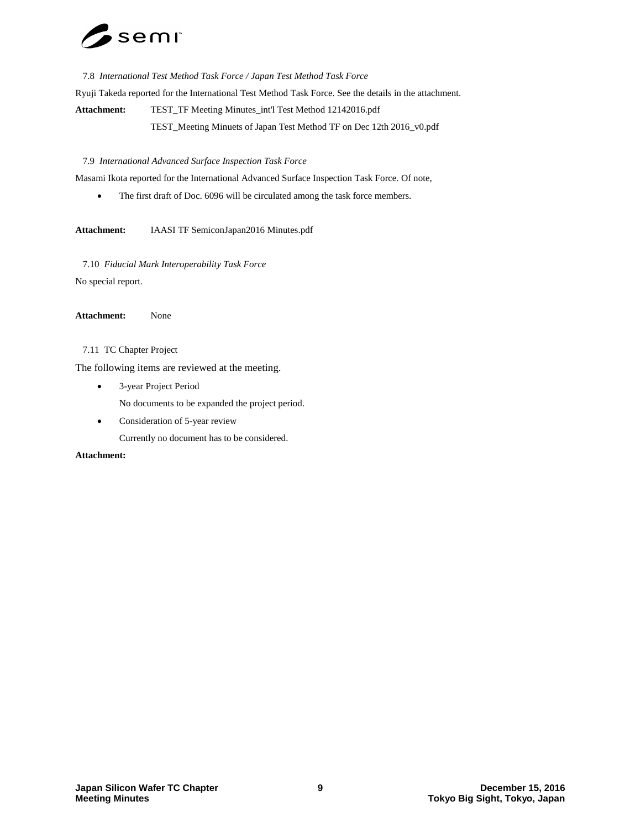# semr

7.8 *International Test Method Task Force / Japan Test Method Task Force* Ryuji Takeda reported for the International Test Method Task Force. See the details in the attachment. **Attachment:** TEST\_TF Meeting Minutes\_int'l Test Method 12142016.pdf TEST\_Meeting Minuets of Japan Test Method TF on Dec 12th 2016\_v0.pdf

# 7.9 *International Advanced Surface Inspection Task Force*

Masami Ikota reported for the International Advanced Surface Inspection Task Force. Of note,

• The first draft of Doc. 6096 will be circulated among the task force members.

**Attachment:** IAASI TF SemiconJapan2016 Minutes.pdf

7.10 *Fiducial Mark Interoperability Task Force* No special report.

**Attachment:** None

# 7.11 TC Chapter Project

The following items are reviewed at the meeting.

• 3-year Project Period

No documents to be expanded the project period.

• Consideration of 5-year review

Currently no document has to be considered.

## **Attachment:**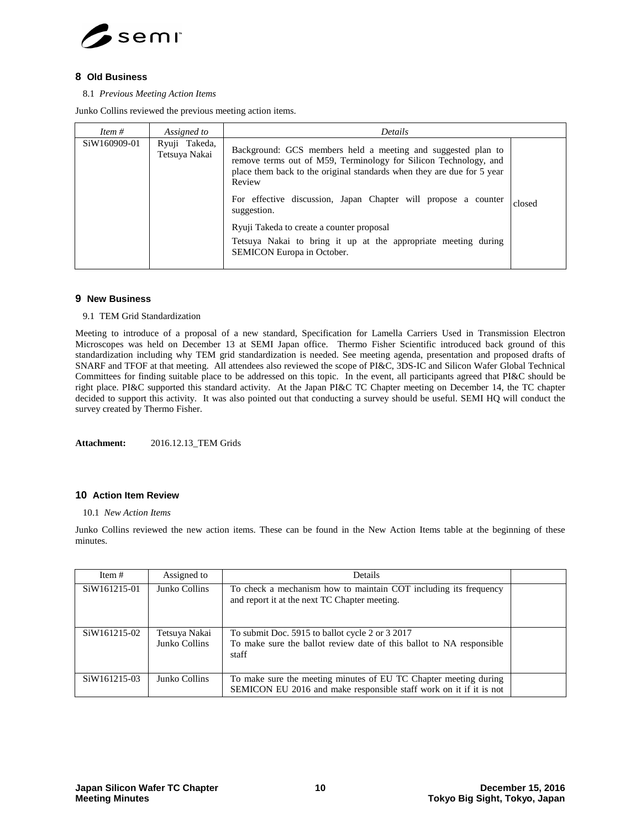

# **8 Old Business**

8.1 *Previous Meeting Action Items*

Junko Collins reviewed the previous meeting action items.

| Item $#$     | Assigned to                    | Details                                                                                                                                                                                                                                                                                                                                                                                                                                            |        |
|--------------|--------------------------------|----------------------------------------------------------------------------------------------------------------------------------------------------------------------------------------------------------------------------------------------------------------------------------------------------------------------------------------------------------------------------------------------------------------------------------------------------|--------|
| SiW160909-01 | Ryuji Takeda,<br>Tetsuva Nakai | Background: GCS members held a meeting and suggested plan to<br>remove terms out of M59, Terminology for Silicon Technology, and<br>place them back to the original standards when they are due for 5 year<br>Review<br>For effective discussion, Japan Chapter will propose a counter<br>suggestion.<br>Ryuji Takeda to create a counter proposal<br>Tetsuya Nakai to bring it up at the appropriate meeting during<br>SEMICON Europa in October. | closed |

#### **9 New Business**

9.1 TEM Grid Standardization

Meeting to introduce of a proposal of a new standard, Specification for Lamella Carriers Used in Transmission Electron Microscopes was held on December 13 at SEMI Japan office. Thermo Fisher Scientific introduced back ground of this standardization including why TEM grid standardization is needed. See meeting agenda, presentation and proposed drafts of SNARF and TFOF at that meeting. All attendees also reviewed the scope of PI&C, 3DS-IC and Silicon Wafer Global Technical Committees for finding suitable place to be addressed on this topic. In the event, all participants agreed that PI&C should be right place. PI&C supported this standard activity. At the Japan PI&C TC Chapter meeting on December 14, the TC chapter decided to support this activity. It was also pointed out that conducting a survey should be useful. SEMI HQ will conduct the survey created by Thermo Fisher.

**Attachment:** 2016.12.13\_TEM Grids

#### **10 Action Item Review**

#### 10.1 *New Action Items*

Junko Collins reviewed the new action items. These can be found in the New Action Items table at the beginning of these minutes.

| Item $#$     | Assigned to                    | Details                                                                                                                                |  |
|--------------|--------------------------------|----------------------------------------------------------------------------------------------------------------------------------------|--|
| SiW161215-01 | Junko Collins                  | To check a mechanism how to maintain COT including its frequency<br>and report it at the next TC Chapter meeting.                      |  |
| SiW161215-02 | Tetsuya Nakai<br>Junko Collins | To submit Doc. 5915 to ballot cycle 2 or 3 2017<br>To make sure the ballot review date of this ballot to NA responsible<br>staff       |  |
| SiW161215-03 | Junko Collins                  | To make sure the meeting minutes of EU TC Chapter meeting during<br>SEMICON EU 2016 and make responsible staff work on it if it is not |  |